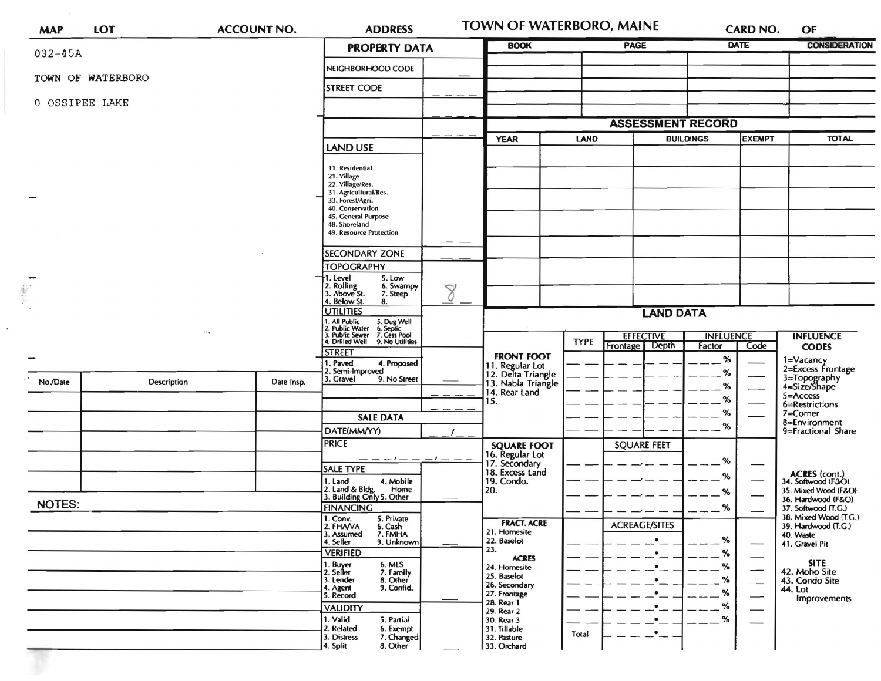| <b>MAP</b>    | LOT               | <b>ACCOUNT NO.</b> |            | <b>ADDRESS</b>                                                                                                                                                                                                                                                                                                                                                                                                                                                                                                                                        |  | <b>TOWN OF WATERBORO, MAINE</b>                                                                                                                                                                                                  |                                                      |                                                       | <b>CARD NO.</b>                                             |                                                      | OF                                                                                                                                                              |  |
|---------------|-------------------|--------------------|------------|-------------------------------------------------------------------------------------------------------------------------------------------------------------------------------------------------------------------------------------------------------------------------------------------------------------------------------------------------------------------------------------------------------------------------------------------------------------------------------------------------------------------------------------------------------|--|----------------------------------------------------------------------------------------------------------------------------------------------------------------------------------------------------------------------------------|------------------------------------------------------|-------------------------------------------------------|-------------------------------------------------------------|------------------------------------------------------|-----------------------------------------------------------------------------------------------------------------------------------------------------------------|--|
| $032 - 45A$   |                   |                    |            | <b>PROPERTY DATA</b>                                                                                                                                                                                                                                                                                                                                                                                                                                                                                                                                  |  | <b>BOOK</b>                                                                                                                                                                                                                      |                                                      | PAGE                                                  |                                                             | <b>DATE</b>                                          | <b>CONSIDERATION</b>                                                                                                                                            |  |
|               |                   |                    |            | NEIGHBORHOOD CODE                                                                                                                                                                                                                                                                                                                                                                                                                                                                                                                                     |  |                                                                                                                                                                                                                                  |                                                      |                                                       |                                                             |                                                      |                                                                                                                                                                 |  |
|               | TOWN OF WATERBORO |                    |            | <b>STREET CODE</b>                                                                                                                                                                                                                                                                                                                                                                                                                                                                                                                                    |  |                                                                                                                                                                                                                                  |                                                      |                                                       |                                                             |                                                      |                                                                                                                                                                 |  |
|               | 0 OSSIPEE LAKE    |                    |            |                                                                                                                                                                                                                                                                                                                                                                                                                                                                                                                                                       |  |                                                                                                                                                                                                                                  |                                                      |                                                       |                                                             |                                                      |                                                                                                                                                                 |  |
|               |                   |                    |            |                                                                                                                                                                                                                                                                                                                                                                                                                                                                                                                                                       |  |                                                                                                                                                                                                                                  |                                                      | <b>ASSESSMENT RECORD</b>                              |                                                             |                                                      |                                                                                                                                                                 |  |
|               |                   | <b>LAND USE</b>    |            | <b>YEAR</b><br><b>LAND</b>                                                                                                                                                                                                                                                                                                                                                                                                                                                                                                                            |  | <b>BUILDINGS</b>                                                                                                                                                                                                                 |                                                      | <b>EXEMPT</b>                                         | <b>TOTAL</b>                                                |                                                      |                                                                                                                                                                 |  |
| $\frac{1}{2}$ | <b>Party</b>      |                    |            | 11. Residential<br>21. Village<br>22. Village/Res.<br>31. Agricultural/Res.<br>33. Forest/Agri.<br>40. Conservation<br>45. General Purpose<br>48. Shoreland<br>49. Resource Protection<br><b>SECONDARY ZONE</b><br><b>TOPOGRAPHY</b><br>5. Low<br>1. Level<br>2. Rolling<br>3. Above St.<br>6. Swampy<br>8<br>7. Steep<br>4. Below St.<br>8.<br><b>UTILITIES</b><br>1. All Public<br>2. Public Water<br>3. Public Sewer<br>4. Drilled Well<br>5. Dug Well<br>6. Septic<br>7. Cess Pool<br>9. No Utilities<br><b>STREET</b><br>1. Paved<br>4. Proposed |  | <b>FRONT FOOT</b>                                                                                                                                                                                                                | <b>EFFECTIVE</b><br><b>TYPE</b><br>Depth<br>Frontage |                                                       | <b>LAND DATA</b><br><b>INFLUENCE</b><br>Code<br>Factor<br>% |                                                      | <b>INFLUENCE</b><br><b>CODES</b><br>1=Vacancy<br>2=Excess Frontage                                                                                              |  |
| No./Date      | Description       |                    | Date Insp. | 2. Semi-Improved<br>3. Gravel<br>9. No Street<br><b>SALE DATA</b><br>DATE(MM/YY)                                                                                                                                                                                                                                                                                                                                                                                                                                                                      |  | 11. Regular Lot<br>12. Delta Triangle<br>13. Nabla Triangle<br>14. Rear Land<br>15.                                                                                                                                              |                                                      |                                                       | $\%$<br>%<br>℅<br>$\%$<br>%                                 |                                                      | 3=Topography<br>4=Size/Shape<br>5=Access<br>6=Restrictions<br>$7 =$ Corner<br>8=Environment<br>9=Fractional Share                                               |  |
| <b>NOTES:</b> |                   |                    |            | <b>PRICE</b><br><b>SALE TYPE</b><br>1. Land<br>4. Mobile<br>2. Land & Bldg. Home<br>3. Building Only 5. Other<br>Home<br><b>FINANCING</b>                                                                                                                                                                                                                                                                                                                                                                                                             |  | <b>SQUARE FOOT</b><br>16. Regular Lot<br>17. Secondary<br>18. Excess Land<br>19. Condo.<br>20.                                                                                                                                   |                                                      | <b>SQUARE FEET</b>                                    | %<br>%<br>%<br>%                                            |                                                      | ACRES (cont.)<br>34. Softwood (F&O)<br>35. Mixed Wood (F&O)<br>36. Hardwood (F&O)<br>37. Softwood (T.G.)                                                        |  |
|               |                   |                    |            | 1. Conv.<br>5. Private<br>2. FHAVA<br>6. Cash<br>7. FMHA<br>3. Assumed<br>4. Seller<br>9. Unknown<br><b>VERIFIED</b><br>1. Buyer<br>6. MLS<br>7. Family<br>2. Seller<br>8. Other<br>3. Lender<br>4. Agent<br>9. Confid.<br>5. Record<br><b>VALIDITY</b><br>1. Valid<br>5. Partial<br>2. Related<br>6. Exempt<br>3. Distress<br>7. Changed<br>8. Other<br>4. Split                                                                                                                                                                                     |  | <b>FRACT. ACRE</b><br>21. Homesite<br>22. Baselot<br>23.<br><b>ACRES</b><br>24. Homesite<br>25. Baselot<br>26. Secondary<br>27. Frontage<br>28. Rear 1<br>29. Rear 2<br>30. Rear 3<br>31. Tillable<br>32. Pasture<br>33. Orchard | Total                                                | <b>ACREAGE/SITES</b><br>$\bullet$<br>$\bullet$<br>.∙_ | %<br>%<br>%<br>%<br>%<br>%<br>%                             | $\overline{\phantom{0}}$<br>$\overline{\phantom{0}}$ | 38. Mixed Wood (T.G.)<br>39. Hardwood (T.G.)<br>40. Waste<br>41. Gravel Pit<br><b>SITE</b><br>42. Moho Site<br>43. Condo Site<br>44. Lot<br><b>Improvements</b> |  |

 $\sim$ 

 $\bar{\mathbf{v}}$